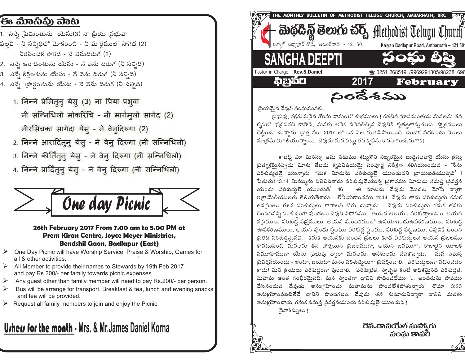## ිපිෘ ಮಿಾನಿಫ಼ು ವಾಟ

- 1. నిస్తే (పేమింతును యేసు(3) నా ¦పియ ప్రభువా పల్లవి - నీ సన్నిధిలో మోకరించి - నీ మార్గములో సాగెద (2) నీరసించక సాగెద - నే వెనుదిరుగ (2)
- 2. నిన్నే ఆరాదింతును యేసు నే వెను దిరుగ (నీ సన్నిది)
- 3. నిస్తే కీర్తింతును యేసు నే వెను దిరుగ (నీ సన్నిది)
- 4. నిప్పే ప్రార్ధంతును యేసు నె వెను దిరుగ (నీ సన్నిది)
	- 1. निन्ने प्रेमिंतुन् येसु (3) ना प्रिया प्रभुवा नी सन्निधिलो मोकरिंचि - नी मार्गमूलो सागेद (2) नीरसिंचका सागेदा येस् - ने वेन्दिरुगा (2)
	- 2. निन्ने आरादिंतुनु येसु ने वेनु दिरुगा (नी सन्निधिलो)
	- 3. निन्ने कीर्तितुन् येस् ने वेन् दिरुगा (नी सन्निधिलो)
	- 4. निन्ने प्रार्दितुन् येस् ने वेन् दिरुगा (नी सन्निधिलो)



#### 26th February 2017 From 7.00 am to 5.00 PM at Prem Kiran Centre, Joyce Meyer Ministries, **Bendshil Gaon, Badlapur (East)**

- $\triangleright$  One Day Picnic will have Worship Service, Praise & Worship, Games for all & other activities.
- $\triangleright$  All Member to provide their names to Stewards by 19th Feb 2017 and pay Rs.200/- per family towards picnic expenses.
- $\triangleright$  Any quest other than family member will need to pay Rs. 200/- per person.
- Bus will be arrange for transport. Breakfast & tea, lunch and evening snacks and tea will be provided.
- $\triangleright$  Request all family members to join and enjoy the Picnic.

# **Urhers for the month - Mrs. & Mr. James Daniel Korna**



్రపియమెన దేవుని సంఘమునకు.

ప్రభువు, రక్షకుడునైన యేసు నామంలో శుభములు ! గడచిన మాసమంతయ మనలను తన కృపలో భ(దపరచి కాపాడి, మనకు అనేక దీవెనలిచ్చిన దేవునికి కృతజ్ఞతాసుతులు, స్మోతములు చెల్లించు చున్నాను. (కొత్త సం॥ 2017 లో ఒక నెల ముగిసిపోయింది. ఇంకొక పదకొండు నెలలు మాత్రమే మిగిలియున్నాయి. దేవుడు మన పట్లు తన కృపను కొనసాగించునుగాక!

కాబట్టి మీ మనస్సు అను నడుము కట్టుకొని నిబ్బరమైన బుద్ధిగలవారై యేసు క్రీస్తు స్రత్యక్షమైనప్పట మీకు తేబడు కృపవిషయమై సంపూర్ణ నిరీక్షణ కలిగియుండుడి - 'నేను పరిశుద్ధడనై యున్నాను గనుక విూరును పరిశుద్ధలై యుండుడని వ్రాయబడియున్నది | పేతురు1:13,14 మిమ్మును పిలిచినవాడు పరిశుద్ధుడైయున్న ప్రకారము విూరును సమస్త ప్రవర్తన యందు పరిశుద్ధలై యుండుడి: 16. ఈ మాటను దేవుడు మొదట మోషే ద్వారా ఇ(శాయేలీయులకు తెలియజేశాడు - లేవీయకాండము 11:44. దేవుడు తాను పరిశుద్ధుడు గనుక తన(పజలు కూడ పరిశుద్ధులు కావాలని కోరు చున్నాడు. దేవుడు పరిశుద్ధుడు గనుక తనకు చెందినవన్ని పరిశుద్ధంగా వుండటం దేవుని విధానము. ఆయన ఆలయం పరిశుద్ధాలయం, అయన వస్థములు పరిశుధ్ధ వస్త్రములు, ఆయన మందిరములో ఉపయోగించుఉపకరణములు పరిశుధ్ధ ఊపకరణములు, ఆయన వుండు స్ధలము పరిశుద్ధ స్ధలము, పరిశుద్ధ పట్టణము, దేవునికి చెందిన ప్రతిది పరిశుద్ధమైనవి. కనుక ఆయనకు చెందిన ప్రజలు కూడ పరిశుద్ధులు! ఆయన ప్రజలము కానటువంటి మనలను తన సోత్తయిన (పజలముగా, ఆయన జనముగా, రాజులైన యాజక సమూహముగా యేసు ప్రభువు ద్వారా మనలను, అనేకులను చేసికొన్నాడు. మన సమస్త ప్రవర్తనయందు - ఇంటా, బయటా మనం పరిశుద్ధులుగా ప్రవర్తించాలి. పరిశుద్ధులుగా నటించడం కాదు! మన క్రియలు పరిశుద్ధంగా వుండాలి. పరిశుభ్రత, స్వచ్ఛత కంటే అధికమైనది పరిశుద్ధత. మహిమ అంత గంభీరమైనది. మన స్వంతగా దానిని సాధించలేము '... అందరును పాపము చేసినందున దేవుడు అనుగిహించు మహిమను పొందలేకపోతున్నారు' రోమా 3:23 అనుగ్రహింపబటితేనే దానిని పొందగలం. దేవుడు తన కుమారునిద్వారా దానిని మనకు అనుగ్రహించాడు. గనుక సమస్త స్రవర్తనయందు పరిశుద్ధలె యుండుడి !!

దైవాశీస్సులు !!